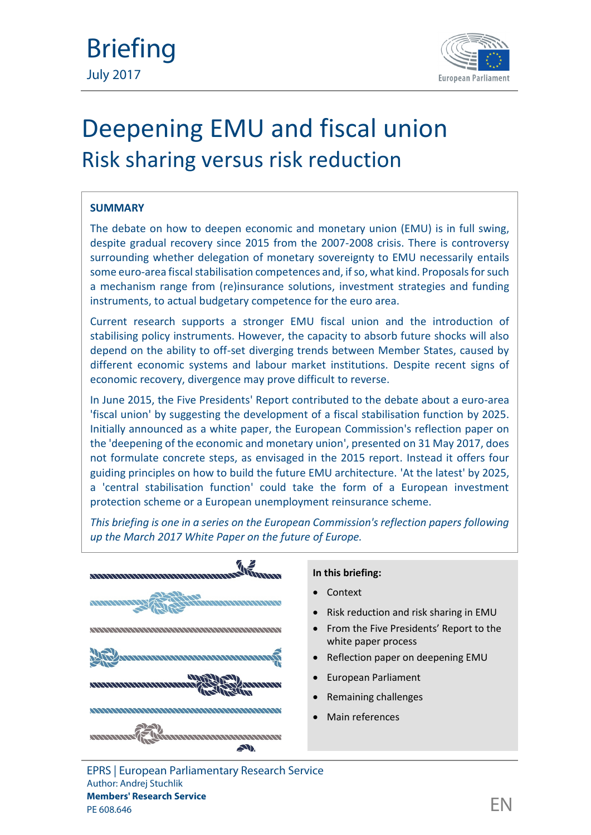

# Deepening EMU and fiscal union Risk sharing versus risk reduction

## **SUMMARY**

The debate on how to deepen economic and monetary union (EMU) is in full swing, despite gradual recovery since 2015 from the 2007-2008 crisis. There is controversy surrounding whether delegation of monetary sovereignty to EMU necessarily entails some euro-area fiscal stabilisation competences and, if so, what kind. Proposals for such a mechanism range from (re)insurance solutions, investment strategies and funding instruments, to actual budgetary competence for the euro area.

Current research supports a stronger EMU fiscal union and the introduction of stabilising policy instruments. However, the capacity to absorb future shocks will also depend on the ability to off-set diverging trends between Member States, caused by different economic systems and labour market institutions. Despite recent signs of economic recovery, divergence may prove difficult to reverse.

In June 2015, the Five Presidents' Report contributed to the debate about a euro-area 'fiscal union' by suggesting the development of a fiscal stabilisation function by 2025. Initially announced as a white paper, the European Commission's reflection paper on the 'deepening of the economic and monetary union', presented on 31 May 2017, does not formulate concrete steps, as envisaged in the 2015 report. Instead it offers four guiding principles on how to build the future EMU architecture. 'At the latest' by 2025, a 'central stabilisation function' could take the form of a European investment protection scheme or a European unemployment reinsurance scheme.

*This briefing is one in a series on the European Commission's reflection papers following up the March 2017 White Paper on the future of Europe.*



#### **In this briefing:**

- Context
- Risk reduction and risk sharing in EMU
- From the Five Presidents' Report to the white paper process
- Reflection paper on deepening EMU
- European Parliament
- Remaining challenges
- Main references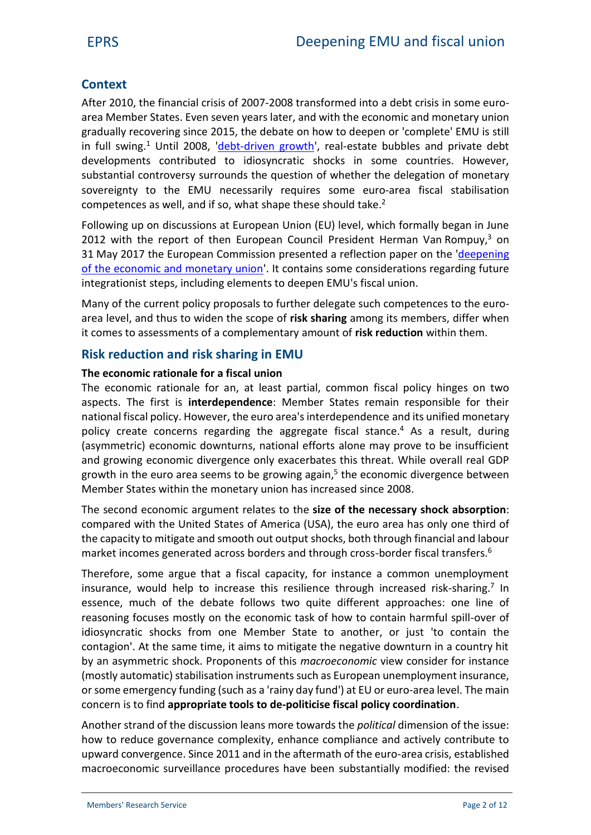# **Context**

After 2010, the financial crisis of 2007-2008 transformed into a debt crisis in some euro area Member States. Even seven years later, and with the economic and monetary union gradually recovering since 2015, the debate on how to deepen or 'complete' EMU is still in full swing.<sup>1</sup> Until 2008, '[debt-driven growth](https://www.cambridge.org/core/journals/government-and-opposition/article/state-driven-in-boom-and-in-bust-structural-limitations-of-financial-power-in-greece/FAE5FFCDD7A01440584D56CED5733B82)', real-estate bubbles and private debt developments contributed to idiosyncratic shocks in some countries. However, substantial controversy surrounds the question of whether the delegation of monetary sovereignty to the EMU necessarily requires some euro-area fiscal stabilisation competences as well, and if so, what shape these should take.<sup>2</sup>

Following up on discussions at European Union (EU) level, which formally began in June 2012 with the report of then European Council President Herman Van Rompuy, $3$  on 31 May 2017 the European Commission presented a reflection paper on the '[deepening](http://europa.eu/rapid/press-release_IP-17-1454_en.htm) [of the economic and monetary union](http://europa.eu/rapid/press-release_IP-17-1454_en.htm)'. It contains some considerations regarding future integrationist steps, including elements to deepen EMU's fiscal union.

Many of the current policy proposals to further delegate such competences to the euroarea level, and thus to widen the scope of **risk sharing** among its members, differ when it comes to assessments of a complementary amount of **risk reduction** within them.

# **Risk reduction and risk sharing in EMU**

## **The economic rationale for a fiscal union**

The economic rationale for an, at least partial, common fiscal policy hinges on two aspects. The first is **interdependence**: Member States remain responsible for their national fiscal policy. However, the euro area's interdependence and its unified monetary policy create concerns regarding the aggregate fiscal stance.<sup>4</sup> As a result, during (asymmetric) economic downturns, national efforts alone may prove to be insufficient and growing economic divergence only exacerbates this threat. While overall real GDP growth in the euro area seems to be growing again,<sup>5</sup> the economic divergence between Member States within the monetary union has increased since 2008.

The second economic argument relates to the **size of the necessary shock absorption**: compared with the United States of America (USA), the euro area has only one third of the capacity to mitigate and smooth out output shocks, both through financial and labour market incomes generated across borders and through cross-border fiscal transfers.<sup>6</sup>

Therefore, some argue that a fiscal capacity, for instance a common unemployment insurance, would help to increase this resilience through increased risk-sharing.<sup>7</sup> In essence, much of the debate follows two quite different approaches: one line of reasoning focuses mostly on the economic task of how to contain harmful spill-over of idiosyncratic shocks from one Member State to another, or just 'to contain the contagion'. At the same time, it aims to mitigate the negative downturn in a country hit by an asymmetric shock. Proponents of this *macroeconomic* view consider for instance (mostly automatic) stabilisation instruments such as European unemployment insurance, or some emergency funding (such as a 'rainy day fund') at EU or euro-area level. The main concern is to find **appropriate tools to de-politicise fiscal policy coordination**.

Another strand of the discussion leans more towards the *political* dimension of the issue: how to reduce governance complexity, enhance compliance and actively contribute to upward convergence. Since 2011 and in the aftermath of the euro-area crisis, established macroeconomic surveillance procedures have been substantially modified: the revised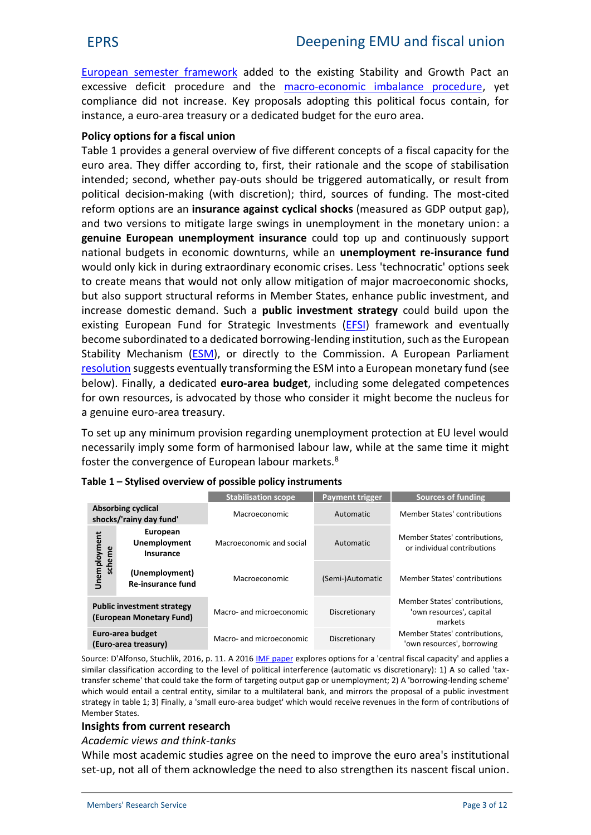European [semester framework](http://www.europarl.europa.eu/RegData/etudes/ATAG/2017/599261/EPRS_ATA%282017%29599261_EN.pdf) added to the existing Stability and Growth Pact an excessive deficit procedure and the [macro-economic imbalance procedure](http://www.europarl.europa.eu/RegData/etudes/BRIE/2017/599433/EPRS_BRI%282017%29599433_EN.pdf), yet compliance did not increase. Key proposals adopting this political focus contain, for instance, a euro-area treasury or a dedicated budget for the euro area.

#### **Policy options for a fiscal union**

Table 1 provides a general overview of five different concepts of a fiscal capacity for the euro area. They differ according to, first, their rationale and the scope of stabilisation intended; second, whether pay-outs should be triggered automatically, or result from political decision-making (with discretion); third, sources of funding. The most-cited reform options are an **insurance against cyclical shocks** (measured as GDP output gap), and two versions to mitigate large swings in unemployment in the monetary union: a **genuine European unemployment insurance** could top up and continuously support national budgets in economic downturns, while an **unemployment re-insurance fund** would only kick in during extraordinary economic crises. Less 'technocratic' options seek to create means that would not only allow mitigation of major macroeconomic shocks, but also support structural reforms in Member States, enhance public investment, and increase domestic demand. Such a **public investment strategy** could build upon the existing European Fund for Strategic Investments [\(EFSI](http://www.consilium.europa.eu/en/policies/investment-plan/strategic-investments-fund/)) framework and eventually become subordinated to a dedicated borrowing-lending institution, such as the European Stability Mechanism [\(ESM\)](https://www.esm.europa.eu/), or directly to the Commission. A European Parliament [resolution](http://www.europarl.europa.eu/sides/getDoc.do?type=TA&language=EN&reference=P8-TA-2017-0050) suggests eventually transforming the ESM into a European monetary fund (see below). Finally, a dedicated **euro-area budget**, including some delegated competences for own resources, is advocated by those who consider it might become the nucleus for a genuine euro-area treasury.

To set up any minimum provision regarding unemployment protection at EU level would necessarily imply some form of harmonised labour law, while at the same time it might foster the convergence of European labour markets.<sup>8</sup>

**Stabilisation scope Payment trigger Sources of funding**

|                                                               |                                              | Stabilisation scope      | Payment trigger  | Sources of Tunding                                                   |  |
|---------------------------------------------------------------|----------------------------------------------|--------------------------|------------------|----------------------------------------------------------------------|--|
| <b>Absorbing cyclical</b><br>shocks/'rainy day fund'          |                                              | Macroeconomic            | Automatic        | Member States' contributions                                         |  |
| Unemployment<br>scheme                                        | European<br><b>Unemployment</b><br>Insurance | Macroeconomic and social | Automatic        | Member States' contributions,<br>or individual contributions         |  |
|                                                               | (Unemployment)<br><b>Re-insurance fund</b>   | Macroeconomic            | (Semi-)Automatic | Member States' contributions                                         |  |
| <b>Public investment strategy</b><br>(European Monetary Fund) |                                              | Macro- and microeconomic | Discretionary    | Member States' contributions,<br>'own resources', capital<br>markets |  |
| Euro-area budget<br>(Euro-area treasury)                      |                                              | Macro- and microeconomic | Discretionary    | Member States' contributions,<br>'own resources', borrowing          |  |

| Table 1 – Stylised overview of possible policy instruments |  |  |  |  |  |
|------------------------------------------------------------|--|--|--|--|--|
|------------------------------------------------------------|--|--|--|--|--|

Source: D'Alfonso, Stuchlik, 2016, p. 11. A 2016 [IMF paper](https://www.imf.org/external/pubs/ft/scr/2016/cr16220.pdf) explores options for a 'central fiscal capacity' and applies a similar classification according to the level of political interference (automatic vs discretionary): 1) A so called 'tax transfer scheme' that could take the form of targeting output gap or unemployment; 2) A 'borrowing-lending scheme' which would entail a central entity, similar to a multilateral bank, and mirrors the proposal of a public investment strategy in table 1; 3) Finally, a 'small euro-area budget' which would receive revenues in the form of contributions of Member States.

## **Insights from current research**

*Academic views and think-tanks*

While most academic studies agree on the need to improve the euro area's institutional set-up, not all of them acknowledge the need to also strengthen its nascent fiscal union.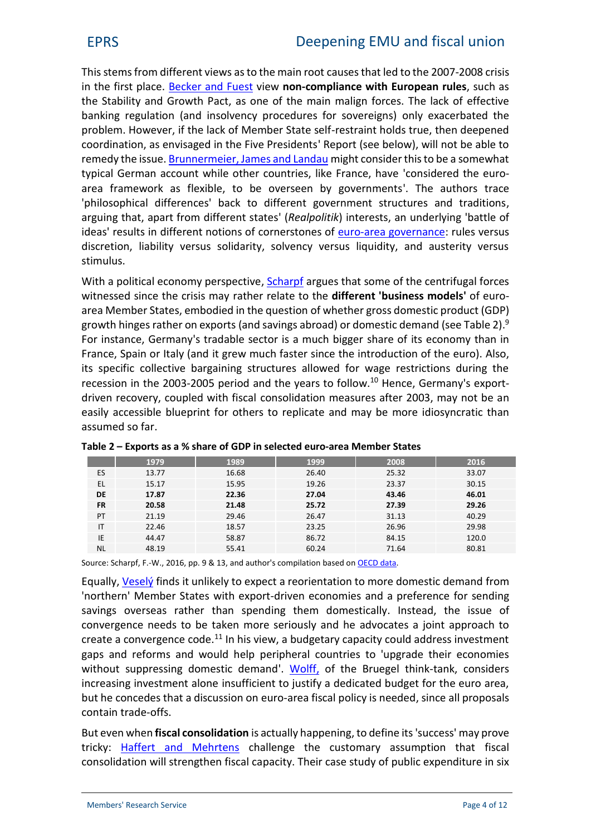This stems from different views asto the main root causes that led to the 2007-2008 crisis in the first place. [Becker and Fuest](https://www.nomos-elibrary.de/10.5771/1610-7780-2017-1-50/eine-eurozone-souveraener-staaten-jahrgang-15-2017-heft-1?page=1) view **non-compliance with European rules**, such as the Stability and Growth Pact, as one of the main malign forces. The lack of effective banking regulation (and insolvency procedures for sovereigns) only exacerbated the problem. However, if the lack of Member State self-restraint holds true, then deepened coordination, as envisaged in the Five Presidents' Report (see below), will not be able to remedy the issue. [Brunnermeier, James and Landau](http://press.princeton.edu/titles/10828.html) might consider this to be a somewhat typical German account while other countries, like France, have 'considered the euro area framework as flexible, to be overseen by governments'. The authors trace 'philosophical differences' back to different government structures and traditions, arguing that, apart from different states' (*Realpolitik*) interests, an underlying 'battle of ideas' results in different notions of cornerstones of [euro-area governance](http://www.europarl.europa.eu/RegData/etudes/IDAN/2015/571319/EPRS_IDA%282015%29571319_EN.pdf): rules versus discretion, liability versus solidarity, solvency versus liquidity, and austerity versus stimulus.

With a political economy perspective, **[Scharpf](http://www.mpi-fg-koeln.mpg.de/pu/mpifg_dp/dp16-15.pdf)** argues that some of the centrifugal forces witnessed since the crisis may rather relate to the **different 'business models'** of euro area Member States, embodied in the question of whether gross domestic product (GDP) growth hinges rather on exports (and savings abroad) or domestic demand (see Table 2). $9$ For instance, Germany's tradable sector is a much bigger share of its economy than in France, Spain or Italy (and it grew much faster since the introduction of the euro). Also, its specific collective bargaining structures allowed for wage restrictions during the recession in the 2003-2005 period and the years to follow.<sup>10</sup> Hence, Germany's exportdriven recovery, coupled with fiscal consolidation measures after 2003, may not be an easily accessible blueprint for others to replicate and may be more idiosyncratic than assumed so far.

|           | 1979  | 1989  | 1999  | 2008  | 2016  |
|-----------|-------|-------|-------|-------|-------|
| ES        | 13.77 | 16.68 | 26.40 | 25.32 | 33.07 |
| EL        | 15.17 | 15.95 | 19.26 | 23.37 | 30.15 |
| DE        | 17.87 | 22.36 | 27.04 | 43.46 | 46.01 |
| <b>FR</b> | 20.58 | 21.48 | 25.72 | 27.39 | 29.26 |
| PT        | 21.19 | 29.46 | 26.47 | 31.13 | 40.29 |
| ΙT        | 22.46 | 18.57 | 23.25 | 26.96 | 29.98 |
| IE        | 44.47 | 58.87 | 86.72 | 84.15 | 120.0 |
| <b>NL</b> | 48.19 | 55.41 | 60.24 | 71.64 | 80.81 |

| Table 2 – Exports as a % share of GDP in selected euro-area Member States |  |
|---------------------------------------------------------------------------|--|
|---------------------------------------------------------------------------|--|

Source: Scharpf, F.-W., 2016, pp. 9 & 13, and author's compilation based on [OECD data](https://data.oecd.org/trade/trade-in-goods-and-services.htm).

Equally, [Veselý](https://www.socialeurope.eu/2017/04/can-europe-converge-convergence-mean/) finds it unlikely to expect a reorientation to more domestic demand from 'northern' Member States with export-driven economies and a preference for sending savings overseas rather than spending them domestically. Instead, the issue of convergence needs to be taken more seriously and he advocates a joint approach to create a convergence code.<sup>11</sup> In his view, a budgetary capacity could address investment gaps and reforms and would help peripheral countries to 'upgrade their economies without suppressing domestic demand'. [Wolff](http://bruegel.org/2017/05/what-could-a-euro-area-finance-minister-mean/), of the Bruegel think-tank, considers increasing investment alone insufficient to justify a dedicated budget for the euro area, but he concedes that a discussion on euro-area fiscal policy is needed, since all proposals contain trade-offs.

But even when **fiscal consolidation** is actually happening, to define its'success' may prove tricky: [Haffert and Mehrtens](http://journals.sagepub.com/doi/abs/10.1177/0032329214556276?papetoc=&) challenge the customary assumption that fiscal consolidation will strengthen fiscal capacity. Their case study of public expenditure in six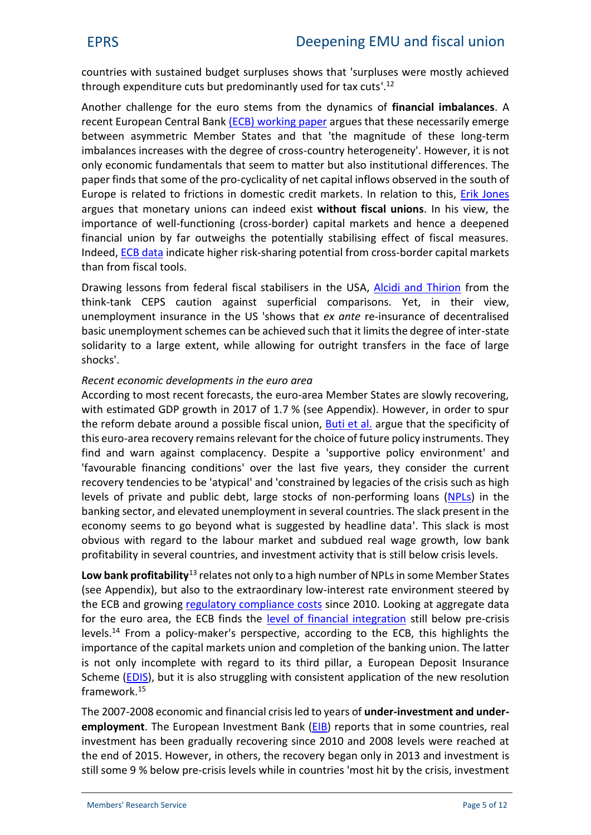countries with sustained budget surpluses shows that 'surpluses were mostly achieved through expenditure cuts but predominantly used for tax cuts'.<sup>12</sup>

Another challenge for the euro stems from the dynamics of **financial imbalances**. A recent European Central Bank (ECB) [working paper](https://www.ecb.europa.eu/pub/pdf/scpwps/ecb.wp2076.en.pdf?f1d8a7afb5c902e03aaf707a529e6010) argues that these necessarily emerge between asymmetric Member States and that 'the magnitude of these long-term imbalances increases with the degree of cross-country heterogeneity'. However, it is not only economic fundamentals that seem to matter but also institutional differences. The paper finds that some of the pro-cyclicality of net capital inflows observed in the south of Europe is related to frictions in domestic credit markets. In relation to this, *[Erik Jones](http://www.tandfonline.com/doi/abs/10.1080/03932729.2016.1224699)* argues that monetary unions can indeed exist **without fiscal unions**. In his view, the importance of well-functioning (cross-border) capital markets and hence a deepened financial union by far outweighs the potentially stabilising effect of fiscal measures. Indeed, [ECB data](https://www.ecb.europa.eu/pub/pdf/other/ecb.financialintegrationineurope201705.en.pdf) indicate higher risk-sharing potential from cross-border capital markets than from fiscal tools.

Drawing lessons from federal fiscal stabilisers in the USA, [Alcidi and Thirion](https://www.ceps.eu/system/files/No 2017_07 CA and GT Fiscal risk-sharing and resilience to shocks.pdf) from the think-tank CEPS caution against superficial comparisons. Yet, in their view, unemployment insurance in the US 'shows that *ex ante* re-insurance of decentralised basic unemployment schemes can be achieved such that it limits the degree of inter-state solidarity to a large extent, while allowing for outright transfers in the face of large shocks'.

## *Recent economic developments in the euro area*

According to most recent forecasts, the euro-area Member States are slowly recovering, with estimated GDP growth in 2017 of 1.7 % (see Appendix). However, in order to spur the reform debate around a possible fiscal union, [Buti et al](http://voxeu.org/article/unusual-recovery-charting-way-forward-european-policymakers). argue that the specificity of this euro-area recovery remains relevant for the choice of future policy instruments. They find and warn against complacency. Despite a 'supportive policy environment' and 'favourable financing conditions' over the last five years, they consider the current recovery tendencies to be 'atypical' and 'constrained by legacies of the crisis such as high levels of private and public debt, large stocks of non-performing loans [\(NPLs\)](https://www.ecb.europa.eu/explainers/tell-me/html/npl.en.html) in the banking sector, and elevated unemployment in several countries. The slack present in the economy seems to go beyond what is suggested by headline data'. This slack is most obvious with regard to the labour market and subdued real wage growth, low bank profitability in several countries, and investment activity that is still below crisis levels.

Low bank profitability<sup>13</sup> relates not only to a high number of NPLs in some Member States (see Appendix), but also to the extraordinary low-interest rate environment steered by the ECB and growing [regulatory compliance costs](http://www.europarl.europa.eu/RegData/etudes/BRIE/2016/586635/EPRS_BRI%282016%29586635_EN.pdf) since 2010. Looking at aggregate data for the euro area, the ECB finds the [level of financial integration](https://www.ecb.europa.eu/pub/pdf/other/ecb.financialintegrationineurope201705.en.pdf) still below pre-crisis levels.<sup>14</sup> From a policy-maker's perspective, according to the ECB, this highlights the importance of the capital markets union and completion of the banking union. The latter is not only incomplete with regard to its third pillar, a European Deposit Insurance Scheme [\(EDIS\)](http://www.europarl.europa.eu/RegData/etudes/BRIE/2016/579090/EPRS_BRI%282016%29579090_EN.pdf), but it is also struggling with consistent application of the new resolution framework.<sup>15</sup>

The 2007-2008 economic and financial crisis led to years of **under-investment and under employment**. The European Investment Bank [\(EIB\)](http://www.eib.org/attachments/strategies/operational_plan_2017_2019_en.pdf) reports that in some countries, real investment has been gradually recovering since 2010 and 2008 levels were reached at the end of 2015. However, in others, the recovery began only in 2013 and investment is still some 9 % below pre-crisis levels while in countries 'most hit by the crisis, investment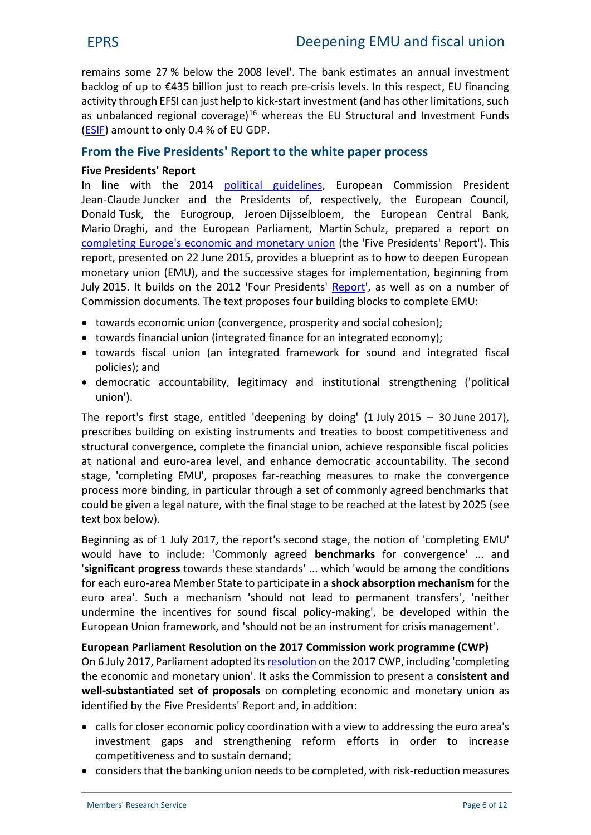remains some 27 % below the 2008 level'. The bank estimates an annual investment backlog of up to €435 billion just to reach pre-crisis levels. In this respect, EU financing activity through EFSI can just help to kick-start investment (and has other limitations, such as unbalanced regional coverage)<sup>16</sup> whereas the EU Structural and Investment Funds [\(ESIF](https://ec.europa.eu/info/funding-tenders/european-structural-and-investment-funds_en)) amount to only 0.4 % of EU GDP.

## **From the Five Presidents' Report to the white paper process**

## **Five Presidents' Report**

In line with the 2014 [political guidelines](https://ec.europa.eu/priorities/publications/president-junckers-political-guidelines_en), European Commission President Jean-Claude Juncker and the Presidents of, respectively, the European Council, Donald Tusk, the Eurogroup, Jeroen Dijsselbloem, the European Central Bank, Mario Draghi, and the European Parliament, Martin Schulz, prepared a report on [completing Europe's economic and monetary union](https://www.google.be/url?sa=t&rct=j&q=&esrc=s&source=web&cd=1&cad=rja&uact=8&sqi=2&ved=0ahUKEwiUhKrr1OPMAhWlBsAKHfSiCU4QFggcMAA&url=https%3A%2F%2Fec.europa.eu%2Fpriorities%2Fpublications%2Ffive-presidents-report-completing-europes-economic-and-monetary-union_en&usg=AFQjCNHSwU-U39e0wX_oqdBB4f_20l61Ow&bvm=bv.122448493,d.ZGg) (the 'Five Presidents' Report'). This report, presented on 22 June 2015, provides a blueprint as to how to deepen European monetary union (EMU), and the successive stages for implementation, beginning from July 2015. It builds on the 2012 'Four Presidents' [Report](http://www.consilium.europa.eu/uedocs/cms_Data/docs/pressdata/en/ec/134069.pdf)', as well as on a number of Commission documents. The text proposes four building blocks to complete EMU:

- towards economic union (convergence, prosperity and social cohesion);
- towards financial union (integrated finance for an integrated economy);
- towards fiscal union (an integrated framework for sound and integrated fiscal policies); and
- democratic accountability, legitimacy and institutional strengthening ('political union').

The report's first stage, entitled 'deepening by doing' (1 July 2015 – 30 June 2017), prescribes building on existing instruments and treaties to boost competitiveness and structural convergence, complete the financial union, achieve responsible fiscal policies at national and euro-area level, and enhance democratic accountability. The second stage, 'completing EMU', proposes far-reaching measures to make the convergence process more binding, in particular through a set of commonly agreed benchmarks that could be given a legal nature, with the final stage to be reached at the latest by 2025 (see text box below).

Beginning as of 1 July 2017, the report's second stage, the notion of 'completing EMU' would have to include: 'Commonly agreed **benchmarks** for convergence' ... and '**significant progress** towards these standards' ... which 'would be among the conditions for each euro-area Member State to participate in a **shock absorption mechanism** for the euro area'. Such a mechanism 'should not lead to permanent transfers', 'neither undermine the incentives for sound fiscal policy-making', be developed within the European Union framework, and 'should not be an instrument for crisis management'.

**European Parliament Resolution on the 2017 Commission work programme (CWP)** On 6 July 2017, Parliament adopted its [resolution](http://www.europarl.europa.eu/sides/getDoc.do?type=TA&language=EN&reference=P8-TA-2016-0312) on the 2017 CWP, including 'completing the economic and monetary union'. It asks the Commission to present a **consistent and well-substantiated set of proposals** on completing economic and monetary union as identified by the Five Presidents' Report and, in addition:

- calls for closer economic policy coordination with a view to addressing the euro area's investment gaps and strengthening reform efforts in order to increase competitiveness and to sustain demand;
- considers that the banking union needs to be completed, with risk-reduction measures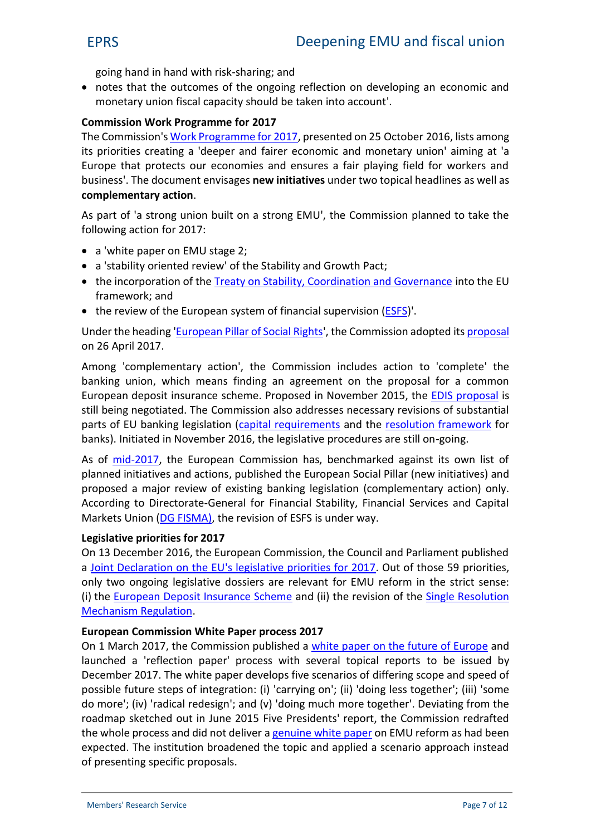going hand in hand with risk-sharing; and

 notes that the outcomes of the ongoing reflection on developing an economic and monetary union fiscal capacity should be taken into account'.

## **Commission Work Programme for 2017**

The Commission's [Work Programme for 2017](https://ec.europa.eu/info/publications/work-programme-commission-key-documents-2017_en), presented on 25 October 2016, lists among its priorities creating a 'deeper and fairer economic and monetary union' aiming at 'a Europe that protects our economies and ensures a fair playing field for workers and business'. The document envisages **new initiatives** under two topical headlines as well as **complementary action**.

As part of 'a strong union built on a strong EMU', the Commission planned to take the following action for 2017:

- a 'white paper on EMU stage 2;
- a 'stability oriented review' of the Stability and Growth Pact;
- the incorporation of the [Treaty on Stability, Coordination and Governan](http://eur-lex.europa.eu/legal-content/EN/TXT/?uri=URISERV:1403_3)ce into the EU framework; and
- the review of the European system of financial supervisi[on \(E](http://www.europarl.europa.eu/atyourservice/en/displayFtu.html?ftuId=FTU_3.2.5.html)SFS)'.

Under the heading '[European Pillar of Social Rights](https://ec.europa.eu/commission/priorities/deeper-and-fairer-economic-and-monetary-union/european-pillar-social-rights_en)', the Commission adopted its [proposal](http://eur-lex.europa.eu/legal-content/EN/TXT/?qid=1494929211162&uri=CELEX:52017DC0251) on 26 April 2017.

Among 'complementary action', the Commission includes action to 'complete' the banking union, which means finding an agreement on the proposal for a common European deposit insurance scheme. Proposed in November 2015, the [EDIS proposal](http://www.europarl.europa.eu/RegData/etudes/BRIE/2016/579090/EPRS_BRI%282016%29579090_EN.pdf) is still being negotiated. The Commission also addresses necessary revisions of substantial parts of EU banking legislation ([capital requirements](http://www.europarl.europa.eu/RegData/etudes/BRIE/2017/599385/EPRS_BRI%282017%29599385_EN.pdf) and the [resolution framework](http://www.europarl.europa.eu/RegData/etudes/BRIE/2017/603958/EPRS_BRI%282017%29603958_EN.pdf) for banks). Initiated in November 2016, the legislative procedures are still on-going.

As of [mid-2017](https://epthinktank.eu/2017/07/12/the-european-commission-at-mid-term-state-of-play-of-president-junckers-ten-priorities/), the European Commission has, benchmarked against its own list of planned initiatives and actions, published the European Social Pillar (new initiatives) and proposed a major review of existing banking legislation (complementary action) only. According to Directorate-General for Financial Stability, Financial Services and Capital Markets Union ([DG FISMA\)](https://ec.europa.eu/info/sites/info/files/management-plan-fisma-2017_en_1.pdf), the revision of ESFS is under way.

#### **Legislative priorities for 2017**

On 13 December 2016, the European Commission, the Council and Parliament published a [Joint Declaration on the EU's legislative priorities for 2017.](https://ec.europa.eu/commission/sites/beta-political/files/joint-declaration-legislative-priorities-2017-jan2017_en.pdf) Out of those 59 priorities, only two ongoing legislative dossiers are relevant for EMU reform in the strict sense: (i) the **[European Deposit Insurance Scheme](http://www.europarl.europa.eu/legislative-train/theme-deeper-and-fairer-economic-and-monetary-union/file-european-deposit-insurance-scheme-%28edis%29)** and (ii) the revision of the **[Single Resolution](http://www.europarl.europa.eu/legislative-train/theme-deeper-and-fairer-economic-and-monetary-union/file-amendments-of-the-single-resolution-mechanism-regulation)** [Mechanism Regulation](http://www.europarl.europa.eu/legislative-train/theme-deeper-and-fairer-economic-and-monetary-union/file-amendments-of-the-single-resolution-mechanism-regulation).

#### **European Commission White Paper process 2017**

On 1 March 2017, the Commission published a [white paper on the future of Europe](http://europa.eu/rapid/press-release_IP-17-385_en.htm) and launched a 'reflection paper' process with several topical reports to be issued by December 2017. The white paper develops five scenarios of differing scope and speed of possible future steps of integration: (i) 'carrying on'; (ii) 'doing less together'; (iii) 'some do more'; (iv) 'radical redesign'; and (v) 'doing much more together'. Deviating from the roadmap sketched out in June 2015 Five Presidents' report, the Commission redrafted the whole process and did not deliver a genuine [white paper](http://eur-lex.europa.eu/summary/glossary/white_paper.html) on EMU reform as had been expected. The institution broadened the topic and applied a scenario approach instead of presenting specific proposals.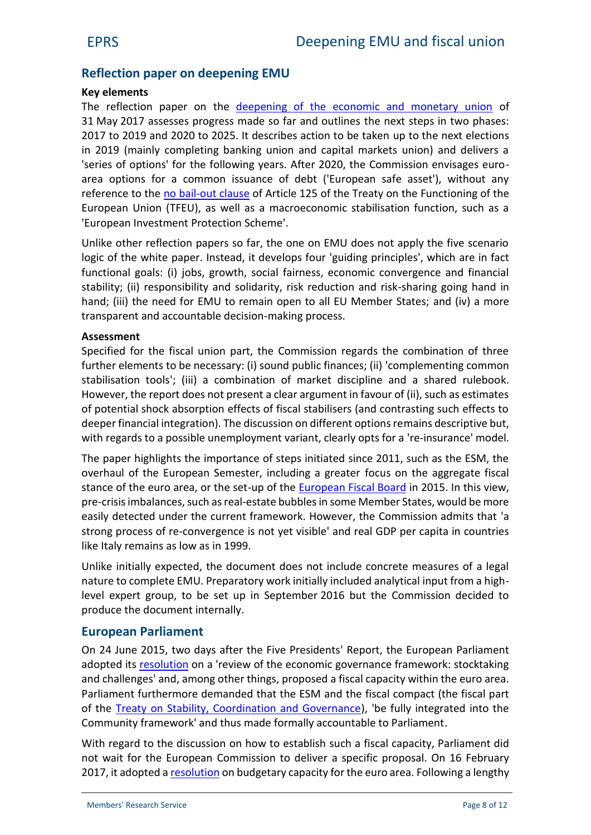# **Reflection paper on deepening EMU**

#### **Key elements**

The reflection paper on the [deepening of the economic and monetary union](https://ec.europa.eu/commission/publications/reflection-paper-deepening-economic-and-monetary-union_en) of 31 May 2017 assesses progress made so far and outlines the next steps in two phases: 2017 to 2019 and 2020 to 2025. It describes action to be taken up to the next elections in 2019 (mainly completing banking union and capital markets union) and delivers a 'series of options' for the following years. After 2020, the Commission envisages euro area options for a common issuance of debt ('European safe asset'), without any reference to the [no bail-out clause](http://ec.europa.eu/economy_finance/articles/governance/pdf/20140331_conclusion_en.pdf) of Article 125 of the Treaty on the Functioning of the European Union (TFEU), as well as a macroeconomic stabilisation function, such as a 'European Investment Protection Scheme'.

Unlike other reflection papers so far, the one on EMU does not apply the five scenario logic of the white paper. Instead, it develops four 'guiding principles', which are in fact functional goals: (i) jobs, growth, social fairness, economic convergence and financial stability; (ii) responsibility and solidarity, risk reduction and risk-sharing going hand in hand; (iii) the need for EMU to remain open to all EU Member States; and (iv) a more transparent and accountable decision-making process.

#### **Assessment**

Specified for the fiscal union part, the Commission regards the combination of three further elements to be necessary: (i) sound public finances; (ii) 'complementing common stabilisation tools'; (iii) a combination of market discipline and a shared rulebook. However, the report does not present a clear argument in favour of (ii), such as estimates of potential shock absorption effects of fiscal stabilisers (and contrasting such effects to deeper financial integration). The discussion on different options remains descriptive but, with regards to a possible unemployment variant, clearly opts for a 're-insurance' model.

The paper highlights the importance of steps initiated since 2011, such as the ESM, the overhaul of the European Semester, including a greater focus on the aggregate fiscal stance of the euro area, or the set-up of the [European Fiscal Board](http://www.europarl.europa.eu/RegData/etudes/ATAG/2015/542674/IPOL_ATA%282015%29542674_EN.pdf) in 2015. In this view, pre-crisis imbalances, such as real-estate bubbles in some Member States, would be more easily detected under the current framework. However, the Commission admits that 'a strong process of re-convergence is not yet visible' and real GDP per capita in countries like Italy remains as low as in 1999.

Unlike initially expected, the document does not include concrete measures of a legal nature to complete EMU. Preparatory work initially included analytical input from a highlevel expert group, to be set up in September 2016 but the Commission decided to produce the document internally.

## **European Parliament**

On 24 June 2015, two days after the Five Presidents' Report, the European Parliament adopted its [resolution](http://www.europarl.europa.eu/sides/getDoc.do?type=TA&language=EN&reference=P8-TA-2015-0238) on a 'review of the economic governance framework: stocktaking and challenges' and, among other things, proposed a fiscal capacity within the euro area. Parliament furthermore demanded that the ESM and the fiscal compact (the fiscal part of the [Treaty on Stability, Coordination and Governance\)](http://eur-lex.europa.eu/legal-content/EN/TXT/?uri=URISERV:1403_3), 'be fully integrated into the Community framework' and thus made formally accountable to Parliament.

With regard to the discussion on how to establish such a fiscal capacity, Parliament did not wait for the European Commission to deliver a specific proposal. On 16 February 2017, it adopted a [resolution](http://www.europarl.europa.eu/sides/getDoc.do?type=TA&language=EN&reference=P8-TA-2017-0050) on budgetary capacity for the euro area. Following a lengthy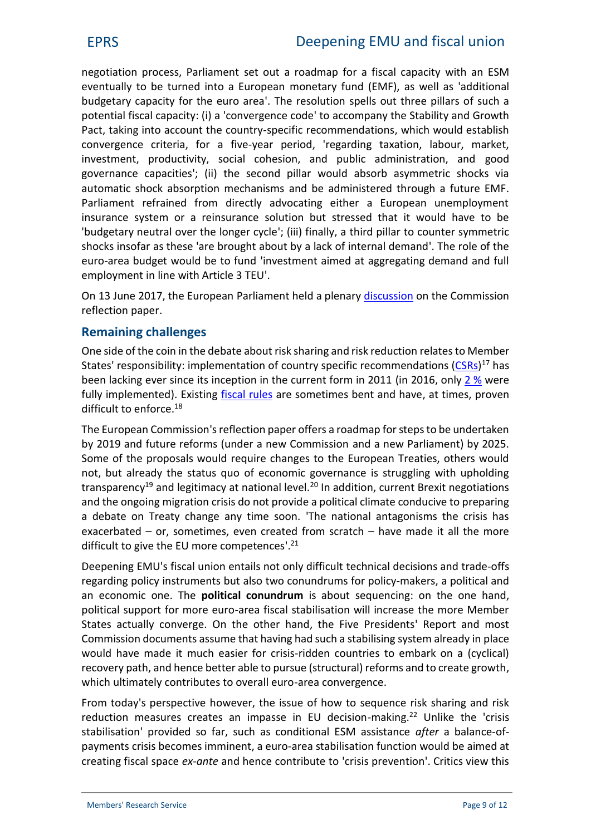negotiation process, Parliament set out a roadmap for a fiscal capacity with an ESM eventually to be turned into a European monetary fund (EMF), as well as 'additional budgetary capacity for the euro area'. The resolution spells out three pillars of such a potential fiscal capacity: (i) a 'convergence code' to accompany the Stability and Growth Pact, taking into account the country-specific recommendations, which would establish convergence criteria, for a five-year period, 'regarding taxation, labour, market, investment, productivity, social cohesion, and public administration, and good governance capacities'; (ii) the second pillar would absorb asymmetric shocks via automatic shock absorption mechanisms and be administered through a future EMF. Parliament refrained from directly advocating either a European unemployment insurance system or a reinsurance solution but stressed that it would have to be 'budgetary neutral over the longer cycle'; (iii) finally, a third pillar to counter symmetric shocks insofar as these 'are brought about by a lack of internal demand'. The role of the euro-area budget would be to fund 'investment aimed at aggregating demand and full employment in line with Article 3 TEU'.

On 13 June 2017, the European Parliament held a plenary [discussion](http://www.europarl.europa.eu/ep-live/en/plenary/video?debate=1497358855843) on the Commission reflection paper.

# **Remaining challenges**

One side of the coin in the debate about risk sharing and risk reduction relates to Member States' responsibility: implementation of country specific recommendations [\(CSRs](http://www.europarl.europa.eu/RegData/etudes/STUD/2017/602081/IPOL_STU%282017%29602081_EN.pdf))<sup>17</sup> has been lacking ever since its inception in the current form in 2011 (in 2016, only 2 [%](http://www.europarl.europa.eu/RegData/etudes/ATAG/2017/587394/IPOL_ATA%282017%29587394_EN.pdf) were fully implemented). Existing [fiscal rules](http://www.europarl.europa.eu/RegData/etudes/IDAN/2016/497739/IPOL_IDA(2016)497739_EN.pdf) are sometimes bent and have, at times, proven difficult to enforce.<sup>18</sup>

The European Commission's reflection paper offers a roadmap for steps to be undertaken by 2019 and future reforms (under a new Commission and a new Parliament) by 2025. Some of the proposals would require changes to the European Treaties, others would not, but already the status quo of economic governance is struggling with upholding transparency<sup>19</sup> and legitimacy at national level.<sup>20</sup> In addition, current Brexit negotiations and the ongoing migration crisis do not provide a political climate conducive to preparing a debate on Treaty change any time soon. 'The national antagonisms the crisis has exacerbated – or, sometimes, even created from scratch – have made it all the more difficult to give the EU more competences'.<sup>21</sup>

Deepening EMU's fiscal union entails not only difficult technical decisions and trade-offs regarding policy instruments but also two conundrums for policy-makers, a political and an economic one. The **political conundrum** is about sequencing: on the one hand, political support for more euro-area fiscal stabilisation will increase the more Member States actually converge. On the other hand, the Five Presidents' Report and most Commission documents assume that having had such a stabilising system already in place would have made it much easier for crisis-ridden countries to embark on a (cyclical) recovery path, and hence better able to pursue (structural) reforms and to create growth, which ultimately contributes to overall euro-area convergence.

From today's perspective however, the issue of how to sequence risk sharing and risk reduction measures creates an impasse in EU decision-making.<sup>22</sup> Unlike the 'crisis stabilisation' provided so far, such as conditional ESM assistance *after* a balance-of payments crisis becomes imminent, a euro-area stabilisation function would be aimed at creating fiscal space *ex-ante* and hence contribute to 'crisis prevention'. Critics view this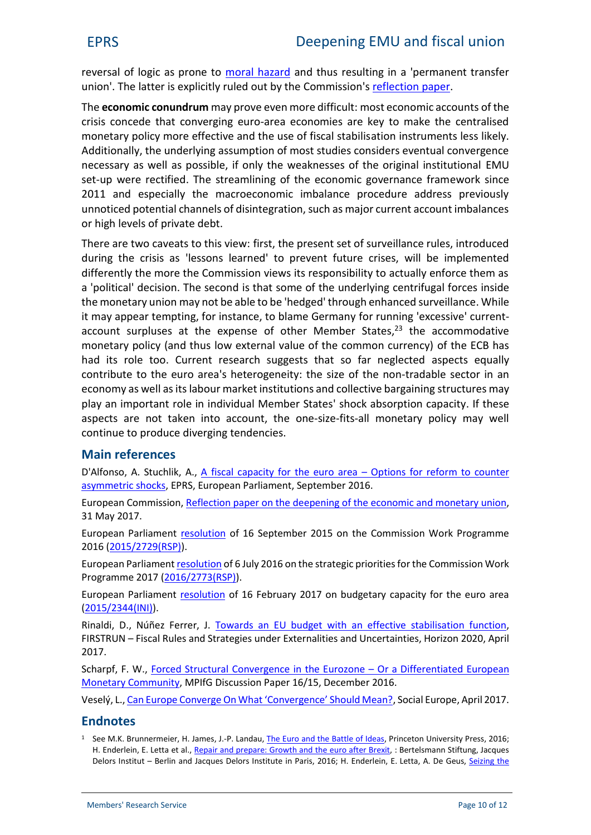reversal of logic as prone to [moral hazard](http://www.investopedia.com/terms/m/moralhazard.asp) and thus resulting in a 'permanent transfer union'. The latter is explicitly ruled out by the Commission's [reflection](https://ec.europa.eu/commission/sites/beta-political/files/reflection-paper-emu_en.pdf) paper.

The **economic conundrum** may prove even more difficult: most economic accounts of the crisis concede that converging euro-area economies are key to make the centralised monetary policy more effective and the use of fiscal stabilisation instruments less likely. Additionally, the underlying assumption of most studies considers eventual convergence necessary as well as possible, if only the weaknesses of the original institutional EMU set-up were rectified. The streamlining of the economic governance framework since 2011 and especially the macroeconomic imbalance procedure address previously unnoticed potential channels of disintegration, such as major current account imbalances or high levels of private debt.

There are two caveats to this view: first, the present set of surveillance rules, introduced during the crisis as 'lessons learned' to prevent future crises, will be implemented differently the more the Commission views its responsibility to actually enforce them as a 'political' decision. The second is that some of the underlying centrifugal forces inside the monetary union may not be able to be 'hedged' through enhanced surveillance. While it may appear tempting, for instance, to blame Germany for running 'excessive' current account surpluses at the expense of other Member States, $23$  the accommodative monetary policy (and thus low external value of the common currency) of the ECB has had its role too. Current research suggests that so far neglected aspects equally contribute to the euro area's heterogeneity: the size of the non-tradable sector in an economy as well as itslabour market institutions and collective bargaining structures may play an important role in individual Member States' shock absorption capacity. If these aspects are not taken into account, the one-size-fits-all monetary policy may well continue to produce diverging tendencies.

# **Main references**

D'Alfonso, A. Stuchlik, A., [A fiscal capacity for the euro area](http://www.europarl.europa.eu/RegData/etudes/IDAN/2016/589774/EPRS_IDA(2016)589774_EN.pdf) – Options for reform to counter [asymmetric shocks,](http://www.europarl.europa.eu/RegData/etudes/IDAN/2016/589774/EPRS_IDA(2016)589774_EN.pdf) EPRS, European Parliament, September 2016.

European Commission, [Reflection paper on the deepening](https://ec.europa.eu/commission/sites/beta-political/files/reflection-paper-emu_en.pdf) of the economic and monetary union, 31 May 2017.

European Parliament [resolution](http://www.europarl.europa.eu/sides/getDoc.do?type=TA&language=EN&reference=P8-TA-2015-0323) of 16 September 2015 on the Commission Work Programme 2016 [\(2015/2729\(RSP\)](http://www.europarl.europa.eu/oeil/popups/ficheprocedure.do?lang=en&reference=2015/2729%28RSP%29)).

European Parliament [resolution](http://www.europarl.europa.eu/sides/getDoc.do?type=TA&language=EN&reference=P8-TA-2016-0312) of 6 July 2016 on the strategic priorities for the Commission Work Programme 2017 ([2016/2773\(RSP\)\)](http://www.europarl.europa.eu/oeil/popups/ficheprocedure.do?lang=en&reference=2016/2773%28RSP%29).

European Parliament [resolution](http://www.europarl.europa.eu/sides/getDoc.do?type=TA&language=EN&reference=P8-TA-2017-0050) of 16 February 2017 on budgetary capacity for the euro area [\(2015/2344\(INI\)\)](http://www.europarl.europa.eu/oeil/popups/ficheprocedure.do?lang=en&reference=2015/2344%28INI%29).

Rinaldi, D., Núñez Ferrer, J. [Towards an EU budget with an effective stabilisation function](http://www.firstrun.eu/files/2017/04/EU-Budget-Stabilisation-Function-FirstRun-v3-1.pdf), FIRSTRUN – Fiscal Rules and Strategies under Externalities and Uncertainties, Horizon 2020, April 2017.

Scharpf, F. W., [Forced Structural Convergence in the Eurozone](http://www.mpi-fg-koeln.mpg.de/pu/mpifg_dp/dp16-15.pdf) – Or a Differentiated European [Monetary Community](http://www.mpi-fg-koeln.mpg.de/pu/mpifg_dp/dp16-15.pdf), MPIfG Discussion Paper 16/15, December 2016.

Veselý, L., [Can Europe Converge On What 'Convergence' Should Mean?](https://www.socialeurope.eu/2017/04/can-europe-converge-convergence-mean/), Social Europe, April 2017.

# **Endnotes**

<sup>1</sup> See M.K. Brunnermeier, H. James, J.-P. Landau, *[The Euro and the Battle of Ideas](http://press.princeton.edu/titles/10828.html)*, Princeton University Press, 2016; H. Enderlein, E. Letta et al., Repair and [prepare: Growth and the](http://www.institutdelors.eu/media/repair-and-prepare-growth-and-the-euro-after-brexit.pdf?pdf=ok) euro after Brexit, : Bertelsmann Stiftung, Jacques Delors Institut - Berlin and Jacques Delors Institute in Paris, 2016; H. Enderlein, E. Letta, A. De Geus, [Seizing the](https://www.bertelsmann-stiftung.de/fileadmin/files/user_upload/EZ_Euro_Area_2017_ENG.pdf)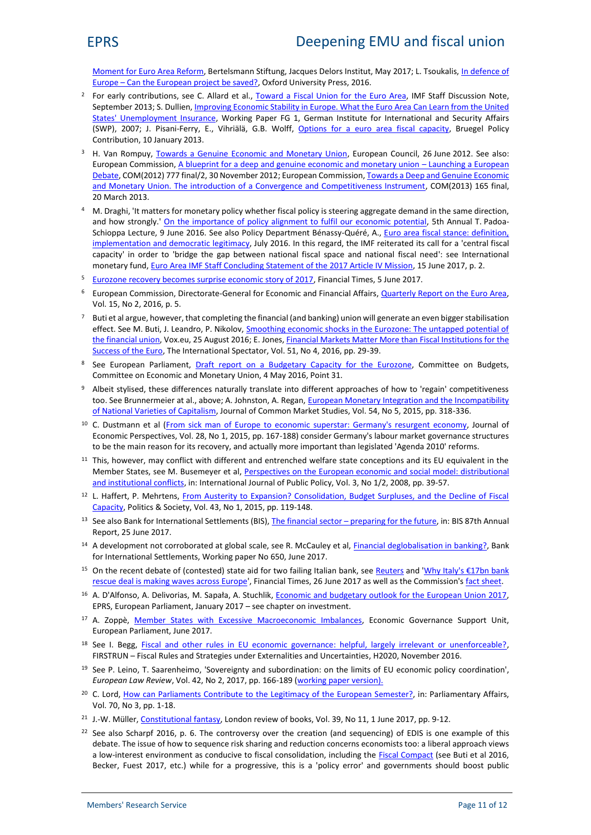[Moment for Euro Area Reform](https://www.bertelsmann-stiftung.de/fileadmin/files/user_upload/EZ_Euro_Area_2017_ENG.pdf), Bertelsmann Stiftung, Jacques Delors Institut, May 2017; L. Tsoukalis, [In defence of](https://global.oup.com/academic/product/in-defence-of-europe-9780198755319?cc=be&lang=en&) Europe – [Can the European project be saved?,](https://global.oup.com/academic/product/in-defence-of-europe-9780198755319?cc=be&lang=en&) Oxford University Press, 2016.

- <sup>2</sup> For early contributions, see C. Allard et al., [Toward a Fiscal Union for the Euro Area](https://www.imf.org/external/pubs/ft/sdn/2013/sdn1309.pdf), IMF Staff Discussion Note, September 2013; S. Dullien, *Improving Economic Stability in Europe*. What the Euro Area Can Learn from the United [States' Unemployment Insurance](http://www.swp-berlin.org/fileadmin/contents/products/arbeitspapiere/Paper_US_KS_neu_formatiert.pdf), Working Paper FG 1, German Institute for International and Security Affairs (SWP), 2007; J. Pisani-Ferry, E., Vihriälä, G.B. Wolff, [Options for a euro area fiscal capacity](http://www.bruegel.org/publications/publication-detail/publication/765-options-for-a-euro-area-fiscal-capacity/), Bruegel Policy Contribution, 10 January 2013.
- <sup>3</sup> H. Van Rompuy, [Towards a Genuine Economic and Monetary Union](http://www.consilium.europa.eu/en/workarea/downloadasset.aspx?id=17220), European Council, 26 June 2012. See also: European Commission, [A blueprint for a deep and genuine economic and monetary union](http://eur-lex.europa.eu/LexUriServ/LexUriServ.do?uri=COM:2012:0777:REV1:EN:PDF) – Launching a European [Debate,](http://eur-lex.europa.eu/LexUriServ/LexUriServ.do?uri=COM:2012:0777:REV1:EN:PDF) COM(2012) 777 final/2, 30 November 2012; European Commission, [Towards a Deep and Genuine Economic](http://eur-lex.europa.eu/legal-content/EN/ALL/?uri=CELEX:52013DC0165) [and Monetary Union. The introduction of a Convergence and Competitiveness Instrument,](http://eur-lex.europa.eu/legal-content/EN/ALL/?uri=CELEX:52013DC0165) COM(2013) 165 final, 20 March 2013.
- <sup>4</sup> M. Draghi, 'It matters for monetary policy whether fiscal policy is steering aggregate demand in the same direction, and how strongly.' [On the importance of policy alignment to fulfil our economic potential](https://www.ecb.europa.eu/press/key/date/2016/html/sp160609.en.html), 5th Annual T. PadoaSchioppa Lecture, 9 June 2016. See also Policy Department Bénassy-Quéré, A., Euro [area fiscal stance: definition,](http://www.europarl.europa.eu/RegData/etudes/IDAN/2016/574424/IPOL_IDA%282016%29574424_EN.pdf) [implementation and democratic legitimacy](http://www.europarl.europa.eu/RegData/etudes/IDAN/2016/574424/IPOL_IDA%282016%29574424_EN.pdf), July 2016. In this regard, the IMF reiterated its call for a 'central fiscal capacity' in order to 'bridge the gap between national fiscal space and national fiscal need': see International monetary fund, [Euro Area IMF Staff Concluding Statement of the 2017 Article IV Mission](http://www.imf.org/en/News/Articles/2017/06/15/ms061517-euro-area-staff-concluding-statement-of-the-2017-article-iv-mission), 15 June 2017, p. 2.
- <sup>5</sup> [Eurozone recovery becomes surprise economic story of 2017](https://www.ft.com/content/8db37b0a-46be-11e7-8519-9f94ee97d996), Financial Times, 5 June 2017.
- <sup>6</sup> European Commission, Directorate-General for Economic and Financial Affairs, [Quarterly Report on the Euro Area,](http://ec.europa.eu/economy_finance/publications/eeip/pdf/ip030_en.pdf) Vol. 15, No 2, 2016, p. 5.
- Buti et al argue, however, that completing the financial (and banking) union will generate an even bigger stabilisation effect. See M. Buti, J. Leandro, P. Nikolov, [Smoothing economic shocks in the Eurozone: The untapped potential of](http://voxeu.org/article/smoothing-economic-shocks-eurozone-untapped-potential-financial-union) [the financial union](http://voxeu.org/article/smoothing-economic-shocks-eurozone-untapped-potential-financial-union), Vox.eu, 25 August 2016; E. Jones, *[Financial Markets Matter More than Fiscal Institutions for the](http://www.tandfonline.com/doi/abs/10.1080/03932729.2016.1224699)* [Success of the Euro](http://www.tandfonline.com/doi/abs/10.1080/03932729.2016.1224699), The International Spectator, Vol. 51, No 4, 2016, pp. 29-39.
- <sup>8</sup> See European Parliament, [Draft report on a Budgetary Capacity for the Eurozone,](http://www.europarl.europa.eu/sides/getDoc.do?pubRef=-%2f%2fEP%2f%2fNONSGML%2bCOMPARL%2bPE-582.210%2b01%2bDOC%2bPDF%2bV0%2f%2fEN) Committee on Budgets, Committee on Economic and Monetary Union, 4 May 2016, Point 31.
- Albeit stylised, these differences naturally translate into different approaches of how to 'regain' competitiveness too. See Brunnermeier at al., above; A. Johnston, A. Regan, [European Monetary Integration and the Incompatibility](http://onlinelibrary.wiley.com/doi/10.1111/jcms.12289/abstract) [of National Varieties of Capitalism](http://onlinelibrary.wiley.com/doi/10.1111/jcms.12289/abstract), Journal of Common Market Studies, Vol. 54, No 5, 2015, pp. 318-336.
- <sup>10</sup> C. Dustmann et al (From sick man of Europe to economic [superstar: Germany's](http://www.ucl.ac.uk/~uctpb21/Cpapers/jep_germany_competitiveness.pdf) resurgent economy, Journal of Economic Perspectives, Vol. 28, No 1, 2015, pp. 167-188) consider Germany's labour market governance structures to be the main reason for its recovery, and actually more important than legislated 'Agenda 2010' reforms.
- <sup>11</sup> This, however, may conflict with different and entrenched welfare state conceptions and its EU equivalent in the Member States, see M. Busemeyer et al, [Perspectives on the European economic and social model: distributional](http://www.mpi-fg-koeln.mpg.de/pu/mpifg_ja/IJPP_3-08_Busemeyer.pdf) [and institutional conflicts](http://www.mpi-fg-koeln.mpg.de/pu/mpifg_ja/IJPP_3-08_Busemeyer.pdf), in: International Journal of Public Policy, Vol. 3, No 1/2, 2008, pp. 39-57.
- <sup>12</sup> L. Haffert, P. Mehrtens, [From Austerity to Expansion? Consolidation, Budget Surpluses, and the Decline of Fiscal](http://journals.sagepub.com/doi/abs/10.1177/0032329214556276?papetoc=&) [Capacity](http://journals.sagepub.com/doi/abs/10.1177/0032329214556276?papetoc=&), Politics & Society, Vol. 43, No 1, 2015, pp. 119-148.
- <sup>13</sup> See also Bank for International Settlements (BIS), The financial sector [preparing for the future,](https://www.bis.org/publ/arpdf/ar2017e5.htm) in: BIS 87th Annual Report, 25 June 2017.
- <sup>14</sup> A development not corroborated at global scale, see R. McCauley et al, *Financial deglobalisation in banking*?, Bank for International Settlements, Working paper No 650, June 2017.
- <sup>15</sup> On the recent debate of (contested) state aid for two failing Italian bank, see [Reuters](http://www.reuters.com/article/us-eurozone-banks-italy-veneto-idUSKBN19H26O) and 'Why Italy's  $\epsilon$ 17bn bank rescue deal is [making waves across Europe](https://www.ft.com/content/03a1c7d0-5a61-11e7-b553-e2df1b0c3220)', Financial Times, 26 June 2017 as well as the Commission's [fact sheet](http://europa.eu/rapid/press-release_MEMO-17-1792_en.htm).
- <sup>16</sup> A. D'Alfonso, A. Delivorias, M. Sapała, A. Stuchlik, *Economic and budgetary outlook for the European Union 2017*, EPRS, European Parliament, January 2017 – see chapter on investment.
- <sup>17</sup> A. Zoppè, [Member States with Excessive Macroeconomic Imbalances](http://www.europarl.europa.eu/RegData/etudes/IDAN/2017/602083/IPOL_IDA%282017%29602083_EN.pdf), Economic Governance Support Unit, European Parliament, June 2017.
- <sup>18</sup> See I. Begg, [Fiscal and other rules in EU economic governance: helpful, largely irrelevant or unenforceable?,](http://www.firstrun.eu/files/2016/11/D6.4_Fiscal_rules.pdf) FIRSTRUN – Fiscal Rules and Strategies under Externalities and Uncertainties, H2020, November 2016.
- <sup>19</sup> See P. Leino, T. Saarenheimo, 'Sovereignty and subordination: on the limits of EU economic policy coordination', *European Law Review*, Vol. 42, No 2, 2017, pp. 166-189 [\(working paper version](https://repositori.upf.edu/bitstream/handle/10230/27704/Ademu-WP-036-2016 On the limits of EU economic policy coordination v2.pdf?sequence=1)).
- <sup>20</sup> C. Lord, [How can Parliaments Contribute to the Legitimacy of the European Semester?](https://doi.org/10.1093/pa/gsx017), in: Parliamentary Affairs, Vol. 70, No 3, pp. 1-18.
- <sup>21</sup> J.-W. Müller, [Constitutional fantasy](https://www.lrb.co.uk/v39/n11/jan-werner-muller/constitutional-fantasy), London review of books, Vol. 39, No 11, 1 June 2017, pp. 9-12.
- $22$  See also Scharpf 2016, p. 6. The controversy over the creation (and sequencing) of EDIS is one example of this debate. The issue of how to sequence risk sharing and reduction concerns economists too: a liberal approach views a low-interest environment as conducive to fiscal consolidation, including the [Fiscal Compact](http://www.europarl.europa.eu/RegData/etudes/STUD/2016/581403/EPRS_STU%282016%29581403_EN.pdf) (see Buti et al 2016, Becker, Fuest 2017, etc.) while for a progressive, this is a 'policy error' and governments should boost public